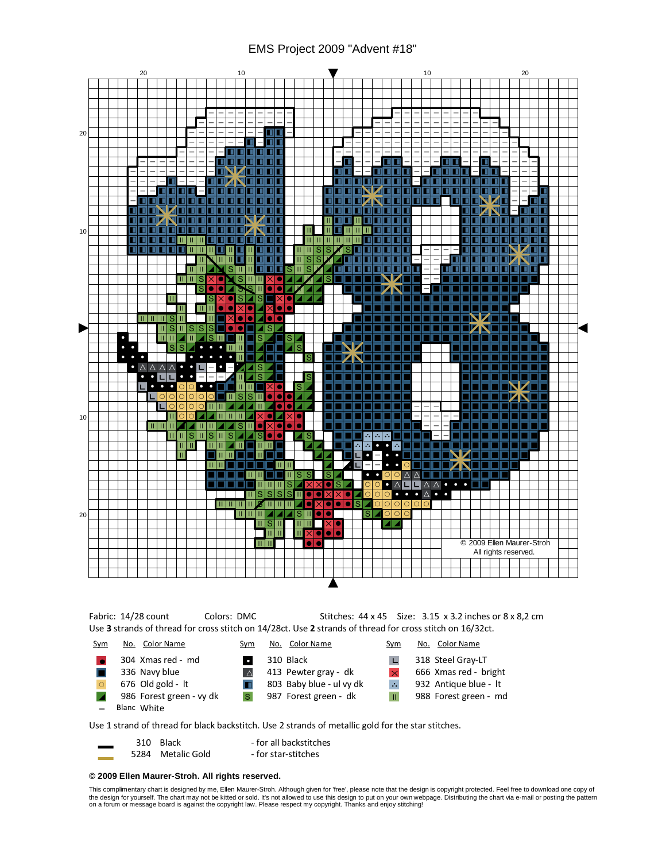## EMS Project 2009 "Advent #18"



## © 2009 Ellen Maurer-Stroh. All rights reserved.

This complimentary chart is designed by me, Ellen Maurer-Stroh. Although given for 'free', please note that the design is copyright protected. Feel free to download one copy of the design for yourself. The chart may not be kitted or sold. It's not allowed to use this design to put on your own webpage. Distributing the chart via e-mail or posting the pattern<br>on a forum or message board is against